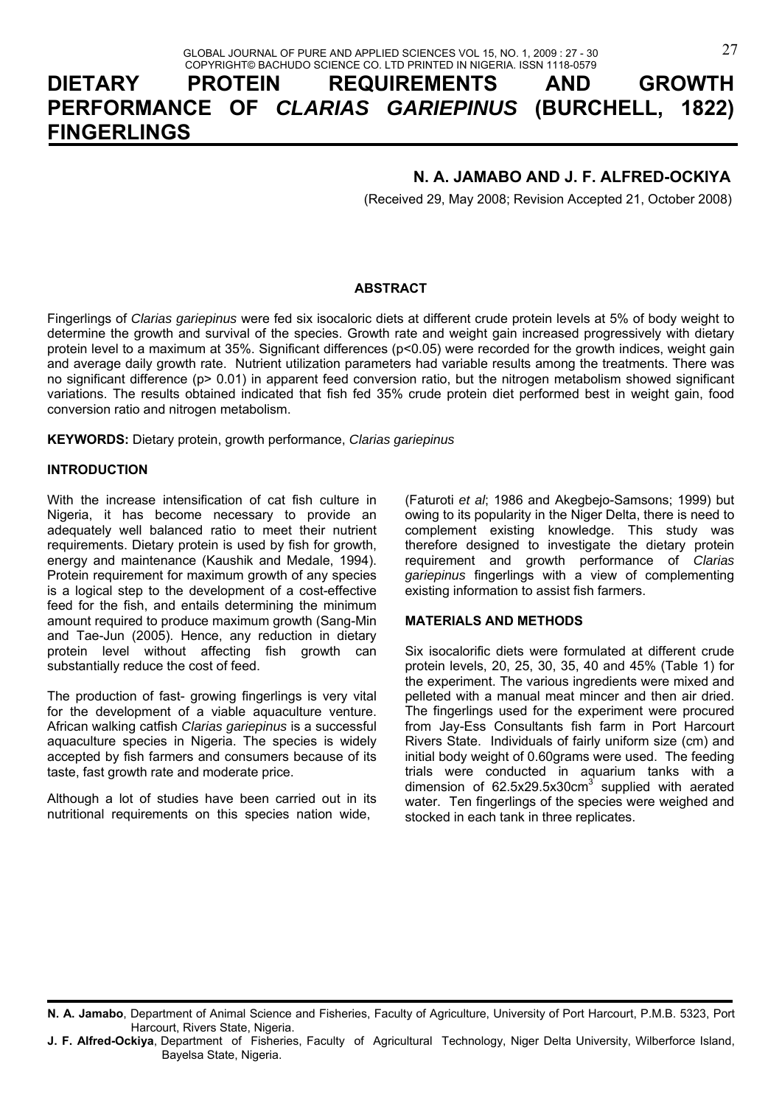# **DIETARY PROTEIN REQUIREMENTS AND GROWTH PERFORMANCE OF** *CLARIAS GARIEPINUS* **(BURCHELL, 1822) FINGERLINGS**

## **N. A. JAMABO AND J. F. ALFRED-OCKIYA**

(Received 29, May 2008; Revision Accepted 21, October 2008)

## **ABSTRACT**

Fingerlings of *Clarias gariepinus* were fed six isocaloric diets at different crude protein levels at 5% of body weight to determine the growth and survival of the species. Growth rate and weight gain increased progressively with dietary protein level to a maximum at 35%. Significant differences (p<0.05) were recorded for the growth indices, weight gain and average daily growth rate. Nutrient utilization parameters had variable results among the treatments. There was no significant difference (p> 0.01) in apparent feed conversion ratio, but the nitrogen metabolism showed significant variations. The results obtained indicated that fish fed 35% crude protein diet performed best in weight gain, food conversion ratio and nitrogen metabolism.

**KEYWORDS:** Dietary protein, growth performance, *Clarias gariepinus*

## **INTRODUCTION**

With the increase intensification of cat fish culture in Nigeria, it has become necessary to provide an adequately well balanced ratio to meet their nutrient requirements. Dietary protein is used by fish for growth, energy and maintenance (Kaushik and Medale, 1994). Protein requirement for maximum growth of any species is a logical step to the development of a cost-effective feed for the fish, and entails determining the minimum amount required to produce maximum growth (Sang-Min and Tae-Jun (2005). Hence, any reduction in dietary protein level without affecting fish growth can substantially reduce the cost of feed.

The production of fast- growing fingerlings is very vital for the development of a viable aquaculture venture. African walking catfish *Clarias gariepinus* is a successful aquaculture species in Nigeria. The species is widely accepted by fish farmers and consumers because of its taste, fast growth rate and moderate price.

Although a lot of studies have been carried out in its nutritional requirements on this species nation wide,

(Faturoti *et al*; 1986 and Akegbejo-Samsons; 1999) but owing to its popularity in the Niger Delta, there is need to complement existing knowledge. This study was therefore designed to investigate the dietary protein requirement and growth performance of *Clarias gariepinus* fingerlings with a view of complementing existing information to assist fish farmers.

#### **MATERIALS AND METHODS**

Six isocalorific diets were formulated at different crude protein levels, 20, 25, 30, 35, 40 and 45% (Table 1) for the experiment. The various ingredients were mixed and pelleted with a manual meat mincer and then air dried. The fingerlings used for the experiment were procured from Jay-Ess Consultants fish farm in Port Harcourt Rivers State. Individuals of fairly uniform size (cm) and initial body weight of 0.60grams were used. The feeding trials were conducted in aquarium tanks with a dimension of  $62.5x29.5x30cm<sup>3</sup>$  supplied with aerated water. Ten fingerlings of the species were weighed and stocked in each tank in three replicates.

**J. F. Alfred-Ockiya**, Department of Fisheries, Faculty of Agricultural Technology, Niger Delta University, Wilberforce Island, Bayelsa State, Nigeria.

**N. A. Jamabo**, Department of Animal Science and Fisheries, Faculty of Agriculture, University of Port Harcourt, P.M.B. 5323, Port Harcourt, Rivers State, Nigeria.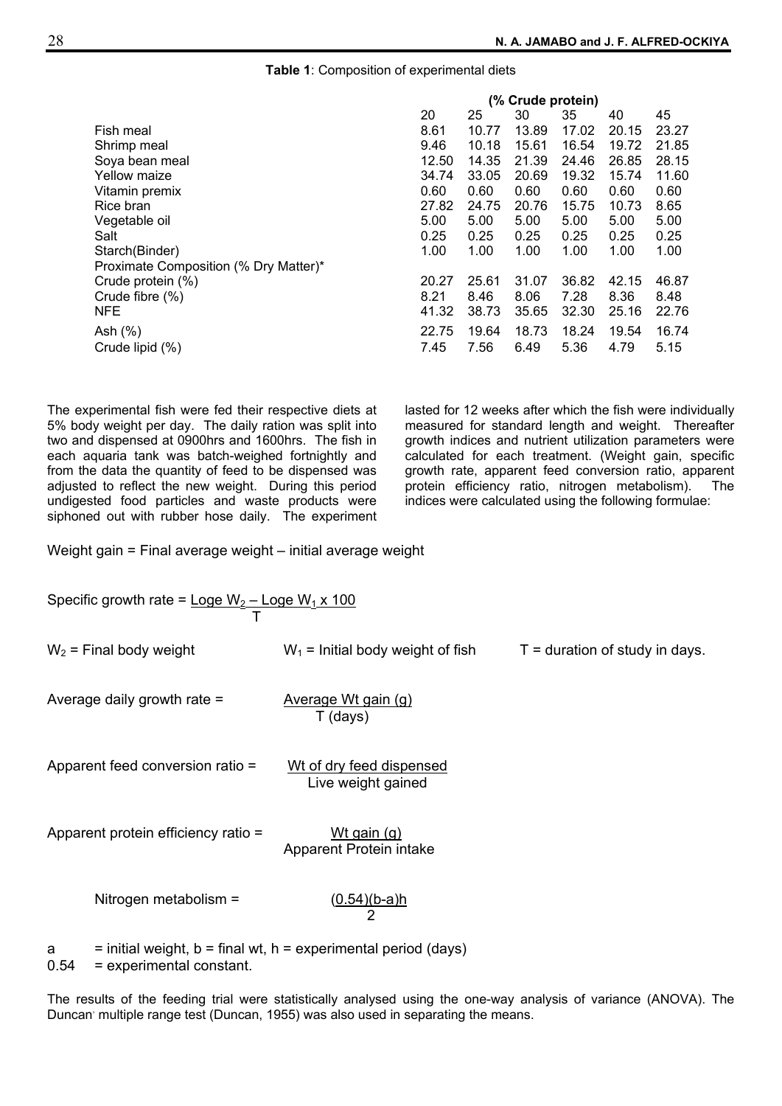#### **Table 1**: Composition of experimental diets

|                                       | (% Crude protein) |       |       |       |       |       |
|---------------------------------------|-------------------|-------|-------|-------|-------|-------|
|                                       | 20                | 25    | 30    | 35    | 40    | 45    |
| Fish meal                             | 8.61              | 10.77 | 13.89 | 17.02 | 20.15 | 23.27 |
| Shrimp meal                           | 9.46              | 10.18 | 15.61 | 16.54 | 19.72 | 21.85 |
| Soya bean meal                        | 12.50             | 14.35 | 21.39 | 24.46 | 26.85 | 28.15 |
| Yellow maize                          | 34.74             | 33.05 | 20.69 | 19.32 | 15.74 | 11.60 |
| Vitamin premix                        | 0.60              | 0.60  | 0.60  | 0.60  | 0.60  | 0.60  |
| Rice bran                             | 27.82             | 24.75 | 20.76 | 15.75 | 10.73 | 8.65  |
| Vegetable oil                         | 5.00              | 5.00  | 5.00  | 5.00  | 5.00  | 5.00  |
| Salt                                  | 0.25              | 0.25  | 0.25  | 0.25  | 0.25  | 0.25  |
| Starch(Binder)                        | 1.00              | 1.00  | 1.00  | 1.00  | 1.00  | 1.00  |
| Proximate Composition (% Dry Matter)* |                   |       |       |       |       |       |
| Crude protein (%)                     | 20.27             | 25.61 | 31.07 | 36.82 | 42.15 | 46.87 |
| Crude fibre (%)                       | 8.21              | 8.46  | 8.06  | 7.28  | 8.36  | 8.48  |
| <b>NFE</b>                            | 41.32             | 38.73 | 35.65 | 32.30 | 25.16 | 22.76 |
| Ash $(%)$                             | 22.75             | 19.64 | 18.73 | 18.24 | 19.54 | 16.74 |
| Crude lipid (%)                       | 7.45              | 7.56  | 6.49  | 5.36  | 4.79  | 5.15  |

The experimental fish were fed their respective diets at 5% body weight per day. The daily ration was split into two and dispensed at 0900hrs and 1600hrs. The fish in each aquaria tank was batch-weighed fortnightly and from the data the quantity of feed to be dispensed was adjusted to reflect the new weight. During this period undigested food particles and waste products were siphoned out with rubber hose daily. The experiment lasted for 12 weeks after which the fish were individually measured for standard length and weight. Thereafter growth indices and nutrient utilization parameters were calculated for each treatment. (Weight gain, specific growth rate, apparent feed conversion ratio, apparent protein efficiency ratio, nitrogen metabolism). The indices were calculated using the following formulae:

Weight gain = Final average weight – initial average weight

| Specific growth rate = $\text{Logic } W_2$ – Loge $W_1 \times 100$ |                                                |                                  |  |  |
|--------------------------------------------------------------------|------------------------------------------------|----------------------------------|--|--|
| $W_2$ = Final body weight                                          | $W_1$ = Initial body weight of fish            | $T =$ duration of study in days. |  |  |
| Average daily growth rate $=$                                      | Average Wt gain (g)<br>T (days)                |                                  |  |  |
| Apparent feed conversion ratio =                                   | Wt of dry feed dispensed<br>Live weight gained |                                  |  |  |
| Apparent protein efficiency ratio =                                | Wt gain (g)<br>Apparent Protein intake         |                                  |  |  |
| Nitrogen metabolism =                                              | <u>(0.54)(b-a)h</u><br>2                       |                                  |  |  |

 $a =$  initial weight,  $b =$  final wt,  $h =$  experimental period (days)

0.54 = experimental constant.

The results of the feeding trial were statistically analysed using the one-way analysis of variance (ANOVA). The Duncan' multiple range test (Duncan, 1955) was also used in separating the means.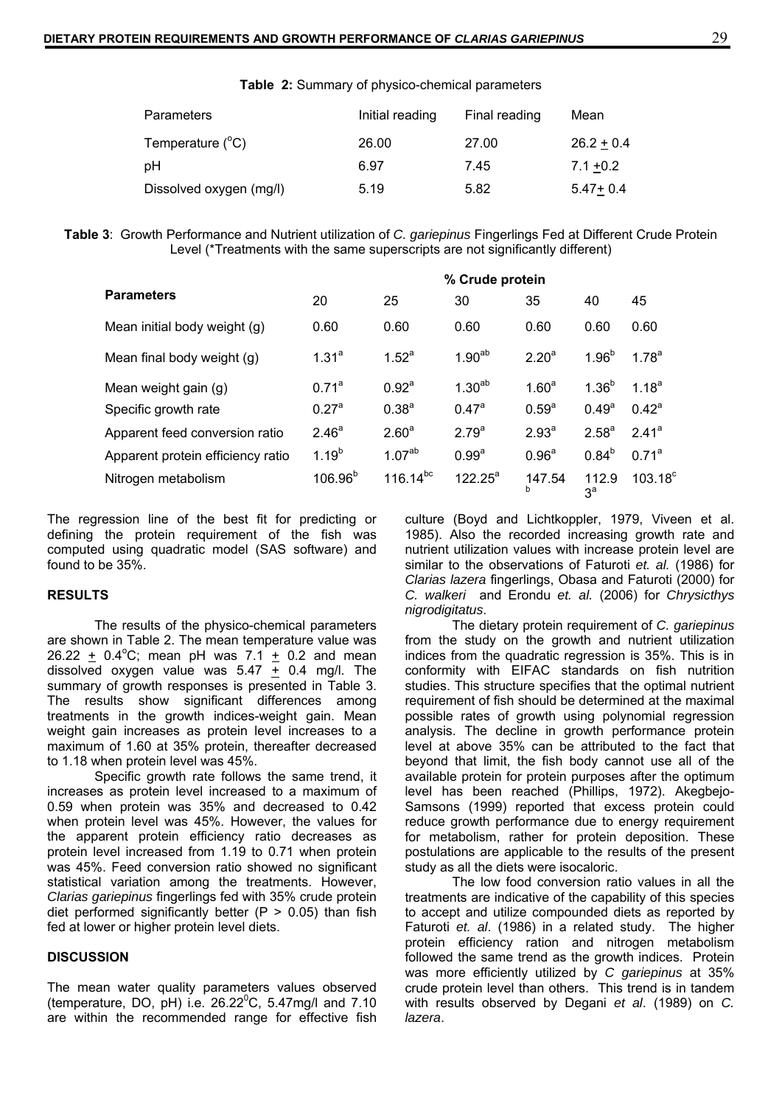**Table 2:** Summary of physico-chemical parameters

| <b>Parameters</b>         | Initial reading | Final reading | Mean         |
|---------------------------|-----------------|---------------|--------------|
| Temperature $(^{\circ}C)$ | 26.00           | 27.00         | $26.2 + 0.4$ |
| pH                        | 6.97            | 7.45          | $7.1 + 0.2$  |
| Dissolved oxygen (mg/l)   | 5.19            | 5.82          | $5.47 + 0.4$ |

**Table 3**: Growth Performance and Nutrient utilization of *C. gariepinus* Fingerlings Fed at Different Crude Protein Level (\*Treatments with the same superscripts are not significantly different)

|                                   | % Crude protein   |                    |                   |                   |                         |                   |  |
|-----------------------------------|-------------------|--------------------|-------------------|-------------------|-------------------------|-------------------|--|
| <b>Parameters</b>                 | 20                | 25                 | 30                | 35                | 40                      | 45                |  |
| Mean initial body weight (g)      | 0.60              | 0.60               | 0.60              | 0.60              | 0.60                    | 0.60              |  |
| Mean final body weight (g)        | 1.31 <sup>a</sup> | 1.52 <sup>a</sup>  | $1.90^{ab}$       | 2.20 <sup>a</sup> | $1.96^{b}$              | $1.78^{a}$        |  |
| Mean weight gain (g)              | 0.71 <sup>a</sup> | $0.92^{\circ}$     | $1.30^{ab}$       | 1.60 <sup>a</sup> | $1.36^{b}$              | $1.18^{a}$        |  |
| Specific growth rate              | 0.27 <sup>a</sup> | $0.38^{a}$         | $0.47^{\circ}$    | $0.59^{a}$        | $0.49^{\circ}$          | $0.42^a$          |  |
| Apparent feed conversion ratio    | 2.46 <sup>a</sup> | 2.60 <sup>a</sup>  | $2.79^{a}$        | $2.93^{a}$        | 2.58 <sup>a</sup>       | 2.41 <sup>a</sup> |  |
| Apparent protein efficiency ratio | $1.19^{b}$        | 1.07 <sup>ab</sup> | 0.99 <sup>a</sup> | 0.96 <sup>a</sup> | $0.84^{b}$              | $0.71^a$          |  |
| Nitrogen metabolism               | $106.96^{b}$      | $116.14^{bc}$      | $122.25^a$        | 147.54<br>b       | 112.9<br>3 <sup>a</sup> | $103.18^{\circ}$  |  |

The regression line of the best fit for predicting or defining the protein requirement of the fish was computed using quadratic model (SAS software) and found to be 35%.

#### **RESULTS**

The results of the physico-chemical parameters are shown in Table 2. The mean temperature value was 26.22  $\pm$  0.4°C; mean pH was 7.1  $\pm$  0.2 and mean dissolved oxygen value was  $5.47 \div 0.4$  mg/l. The summary of growth responses is presented in Table 3. The results show significant differences among treatments in the growth indices-weight gain. Mean weight gain increases as protein level increases to a maximum of 1.60 at 35% protein, thereafter decreased to 1.18 when protein level was 45%.

Specific growth rate follows the same trend, it increases as protein level increased to a maximum of 0.59 when protein was 35% and decreased to 0.42 when protein level was 45%. However, the values for the apparent protein efficiency ratio decreases as protein level increased from 1.19 to 0.71 when protein was 45%. Feed conversion ratio showed no significant statistical variation among the treatments. However, *Clarias gariepinus* fingerlings fed with 35% crude protein diet performed significantly better  $(P > 0.05)$  than fish fed at lower or higher protein level diets.

#### **DISCUSSION**

The mean water quality parameters values observed (temperature, DO, pH) i.e.  $26.22^{\circ}$ C, 5.47mg/l and 7.10 are within the recommended range for effective fish

culture (Boyd and Lichtkoppler, 1979, Viveen et al. 1985). Also the recorded increasing growth rate and nutrient utilization values with increase protein level are similar to the observations of Faturoti *et. al.* (1986) for *Clarias lazera* fingerlings, Obasa and Faturoti (2000) for *C. walkeri* and Erondu *et. al.* (2006) for *Chrysicthys nigrodigitatus*.

The dietary protein requirement of *C. gariepinus* from the study on the growth and nutrient utilization indices from the quadratic regression is 35%. This is in conformity with EIFAC standards on fish nutrition studies. This structure specifies that the optimal nutrient requirement of fish should be determined at the maximal possible rates of growth using polynomial regression analysis. The decline in growth performance protein level at above 35% can be attributed to the fact that beyond that limit, the fish body cannot use all of the available protein for protein purposes after the optimum level has been reached (Phillips, 1972). Akegbejo-Samsons (1999) reported that excess protein could reduce growth performance due to energy requirement for metabolism, rather for protein deposition. These postulations are applicable to the results of the present study as all the diets were isocaloric.

The low food conversion ratio values in all the treatments are indicative of the capability of this species to accept and utilize compounded diets as reported by Faturoti *et. al*. (1986) in a related study. The higher protein efficiency ration and nitrogen metabolism followed the same trend as the growth indices. Protein was more efficiently utilized by *C gariepinus* at 35% crude protein level than others. This trend is in tandem with results observed by Degani *et al*. (1989) on *C. lazera*.